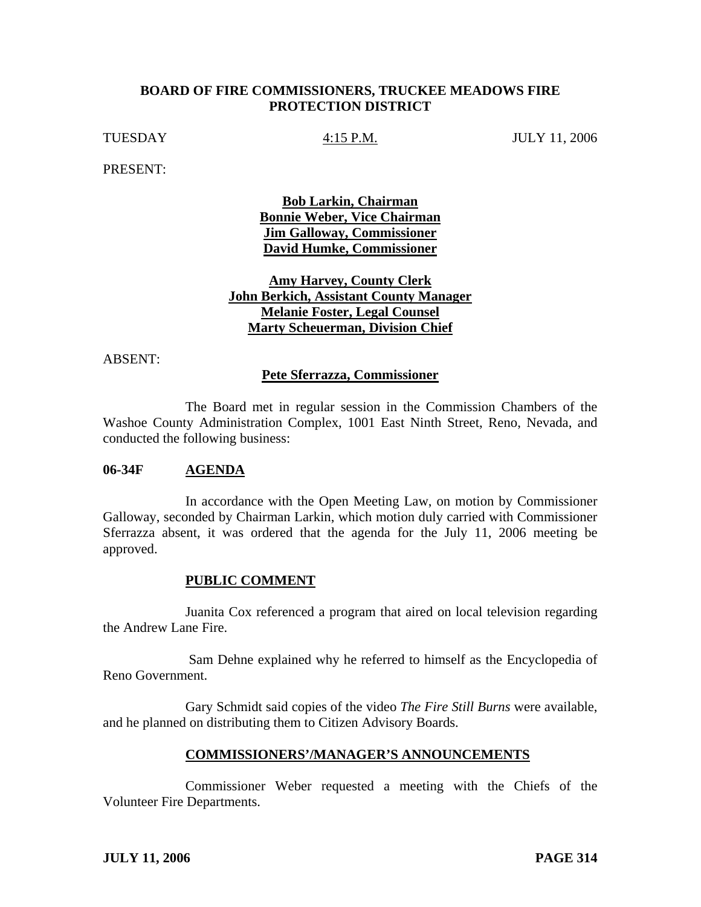#### **BOARD OF FIRE COMMISSIONERS, TRUCKEE MEADOWS FIRE PROTECTION DISTRICT**

TUESDAY 4:15 P.M. JULY 11, 2006

PRESENT:

**Bob Larkin, Chairman Bonnie Weber, Vice Chairman Jim Galloway, Commissioner David Humke, Commissioner**

## **Amy Harvey, County Clerk John Berkich, Assistant County Manager Melanie Foster, Legal Counsel Marty Scheuerman, Division Chief**

ABSENT:

#### **Pete Sferrazza, Commissioner**

 The Board met in regular session in the Commission Chambers of the Washoe County Administration Complex, 1001 East Ninth Street, Reno, Nevada, and conducted the following business:

#### **06-34F AGENDA**

 In accordance with the Open Meeting Law, on motion by Commissioner Galloway, seconded by Chairman Larkin, which motion duly carried with Commissioner Sferrazza absent, it was ordered that the agenda for the July 11, 2006 meeting be approved.

#### **PUBLIC COMMENT**

 Juanita Cox referenced a program that aired on local television regarding the Andrew Lane Fire.

 Sam Dehne explained why he referred to himself as the Encyclopedia of Reno Government.

 Gary Schmidt said copies of the video *The Fire Still Burns* were available, and he planned on distributing them to Citizen Advisory Boards.

#### **COMMISSIONERS'/MANAGER'S ANNOUNCEMENTS**

 Commissioner Weber requested a meeting with the Chiefs of the Volunteer Fire Departments.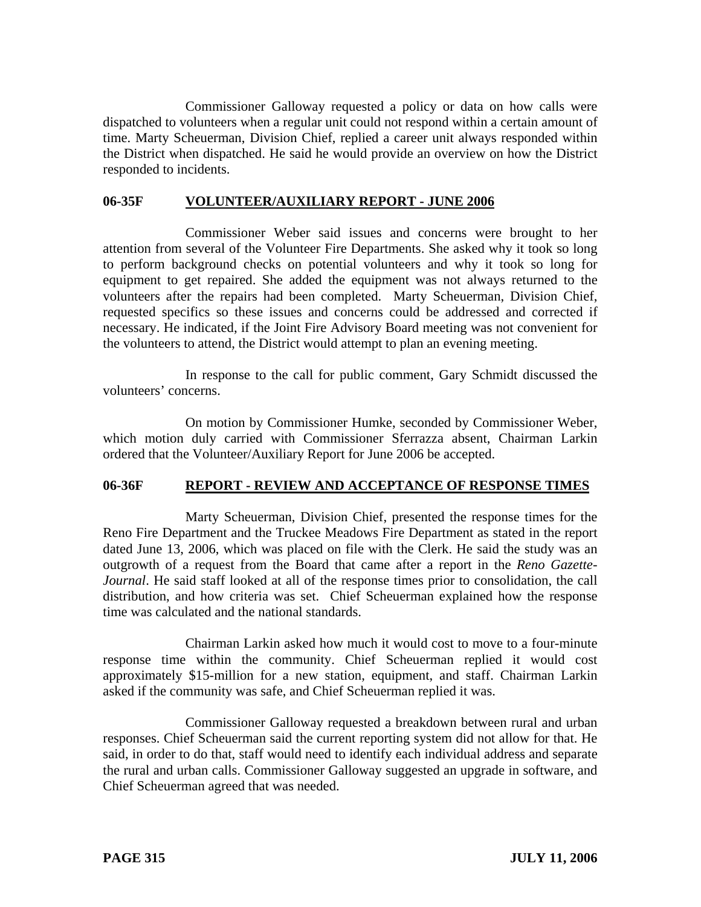Commissioner Galloway requested a policy or data on how calls were dispatched to volunteers when a regular unit could not respond within a certain amount of time. Marty Scheuerman, Division Chief, replied a career unit always responded within the District when dispatched. He said he would provide an overview on how the District responded to incidents.

## **06-35F VOLUNTEER/AUXILIARY REPORT - JUNE 2006**

 Commissioner Weber said issues and concerns were brought to her attention from several of the Volunteer Fire Departments. She asked why it took so long to perform background checks on potential volunteers and why it took so long for equipment to get repaired. She added the equipment was not always returned to the volunteers after the repairs had been completed. Marty Scheuerman, Division Chief, requested specifics so these issues and concerns could be addressed and corrected if necessary. He indicated, if the Joint Fire Advisory Board meeting was not convenient for the volunteers to attend, the District would attempt to plan an evening meeting.

 In response to the call for public comment, Gary Schmidt discussed the volunteers' concerns.

 On motion by Commissioner Humke, seconded by Commissioner Weber, which motion duly carried with Commissioner Sferrazza absent, Chairman Larkin ordered that the Volunteer/Auxiliary Report for June 2006 be accepted.

# **06-36F REPORT - REVIEW AND ACCEPTANCE OF RESPONSE TIMES**

 Marty Scheuerman, Division Chief, presented the response times for the Reno Fire Department and the Truckee Meadows Fire Department as stated in the report dated June 13, 2006, which was placed on file with the Clerk. He said the study was an outgrowth of a request from the Board that came after a report in the *Reno Gazette-Journal*. He said staff looked at all of the response times prior to consolidation, the call distribution, and how criteria was set. Chief Scheuerman explained how the response time was calculated and the national standards.

 Chairman Larkin asked how much it would cost to move to a four-minute response time within the community. Chief Scheuerman replied it would cost approximately \$15-million for a new station, equipment, and staff. Chairman Larkin asked if the community was safe, and Chief Scheuerman replied it was.

 Commissioner Galloway requested a breakdown between rural and urban responses. Chief Scheuerman said the current reporting system did not allow for that. He said, in order to do that, staff would need to identify each individual address and separate the rural and urban calls. Commissioner Galloway suggested an upgrade in software, and Chief Scheuerman agreed that was needed.